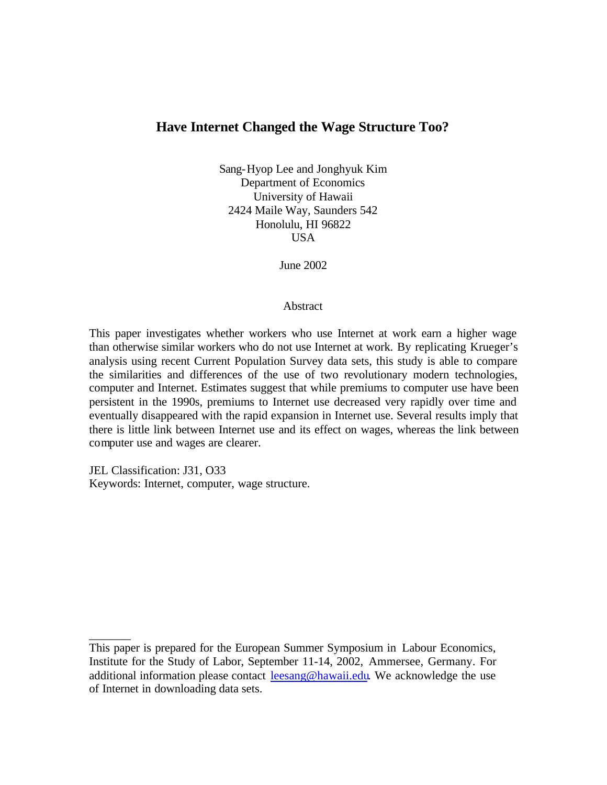# **Have Internet Changed the Wage Structure Too?**

Sang-Hyop Lee and Jonghyuk Kim Department of Economics University of Hawaii 2424 Maile Way, Saunders 542 Honolulu, HI 96822 USA

June 2002

#### Abstract

This paper investigates whether workers who use Internet at work earn a higher wage than otherwise similar workers who do not use Internet at work. By replicating Krueger's analysis using recent Current Population Survey data sets, this study is able to compare the similarities and differences of the use of two revolutionary modern technologies, computer and Internet. Estimates suggest that while premiums to computer use have been persistent in the 1990s, premiums to Internet use decreased very rapidly over time and eventually disappeared with the rapid expansion in Internet use. Several results imply that there is little link between Internet use and its effect on wages, whereas the link between computer use and wages are clearer.

JEL Classification: J31, O33 Keywords: Internet, computer, wage structure.

\_\_\_\_\_\_\_

This paper is prepared for the European Summer Symposium in Labour Economics, Institute for the Study of Labor, September 11-14, 2002, Ammersee, Germany. For additional information please contact leesang@hawaii.edu. We acknowledge the use of Internet in downloading data sets.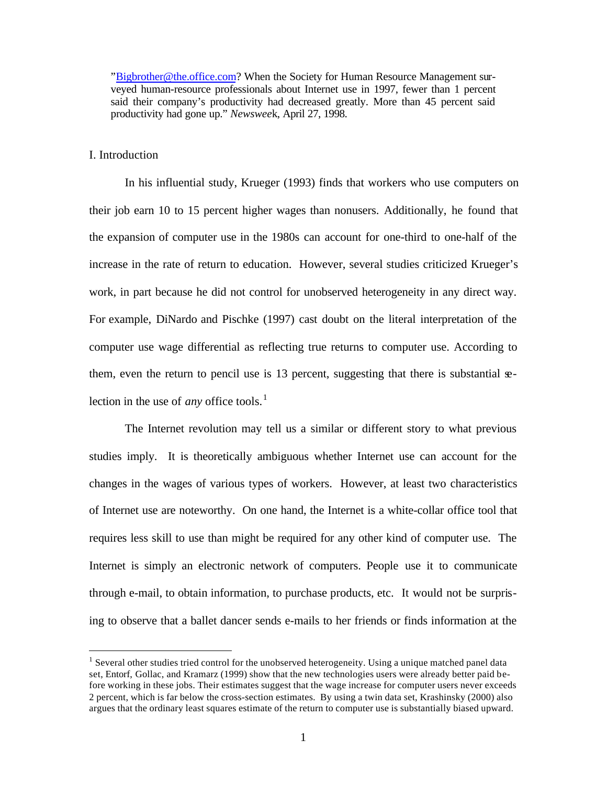"Bigbrother@the.office.com? When the Society for Human Resource Management surveyed human-resource professionals about Internet use in 1997, fewer than 1 percent said their company's productivity had decreased greatly. More than 45 percent said productivity had gone up." *Newswee*k, April 27, 1998.

## I. Introduction

 $\overline{a}$ 

In his influential study, Krueger (1993) finds that workers who use computers on their job earn 10 to 15 percent higher wages than nonusers. Additionally, he found that the expansion of computer use in the 1980s can account for one-third to one-half of the increase in the rate of return to education. However, several studies criticized Krueger's work, in part because he did not control for unobserved heterogeneity in any direct way. For example, DiNardo and Pischke (1997) cast doubt on the literal interpretation of the computer use wage differential as reflecting true returns to computer use. According to them, even the return to pencil use is 13 percent, suggesting that there is substantial  $\mathbf{e}$ lection in the use of *any* office tools.<sup>1</sup>

The Internet revolution may tell us a similar or different story to what previous studies imply. It is theoretically ambiguous whether Internet use can account for the changes in the wages of various types of workers. However, at least two characteristics of Internet use are noteworthy. On one hand, the Internet is a white-collar office tool that requires less skill to use than might be required for any other kind of computer use. The Internet is simply an electronic network of computers. People use it to communicate through e-mail, to obtain information, to purchase products, etc. It would not be surprising to observe that a ballet dancer sends e-mails to her friends or finds information at the

<sup>&</sup>lt;sup>1</sup> Several other studies tried control for the unobserved heterogeneity. Using a unique matched panel data set, Entorf, Gollac, and Kramarz (1999) show that the new technologies users were already better paid before working in these jobs. Their estimates suggest that the wage increase for computer users never exceeds 2 percent, which is far below the cross-section estimates. By using a twin data set, Krashinsky (2000) also argues that the ordinary least squares estimate of the return to computer use is substantially biased upward.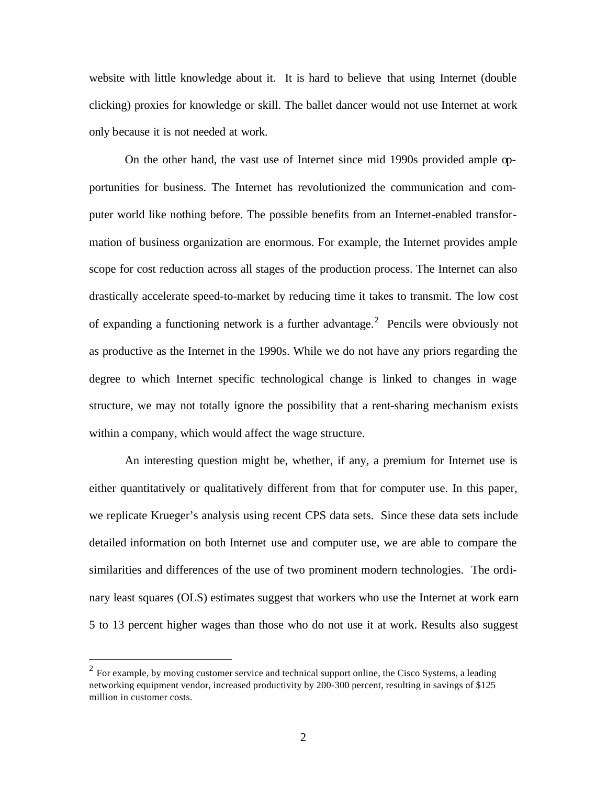website with little knowledge about it. It is hard to believe that using Internet (double clicking) proxies for knowledge or skill. The ballet dancer would not use Internet at work only because it is not needed at work.

On the other hand, the vast use of Internet since mid 1990s provided ample opportunities for business. The Internet has revolutionized the communication and computer world like nothing before. The possible benefits from an Internet-enabled transformation of business organization are enormous. For example, the Internet provides ample scope for cost reduction across all stages of the production process. The Internet can also drastically accelerate speed-to-market by reducing time it takes to transmit. The low cost of expanding a functioning network is a further advantage.<sup>2</sup> Pencils were obviously not as productive as the Internet in the 1990s. While we do not have any priors regarding the degree to which Internet specific technological change is linked to changes in wage structure, we may not totally ignore the possibility that a rent-sharing mechanism exists within a company, which would affect the wage structure.

An interesting question might be, whether, if any, a premium for Internet use is either quantitatively or qualitatively different from that for computer use. In this paper, we replicate Krueger's analysis using recent CPS data sets. Since these data sets include detailed information on both Internet use and computer use, we are able to compare the similarities and differences of the use of two prominent modern technologies. The ordinary least squares (OLS) estimates suggest that workers who use the Internet at work earn 5 to 13 percent higher wages than those who do not use it at work. Results also suggest

 $\overline{a}$ 

 $2^2$  For example, by moving customer service and technical support online, the Cisco Systems, a leading networking equipment vendor, increased productivity by 200-300 percent, resulting in savings of \$125 million in customer costs.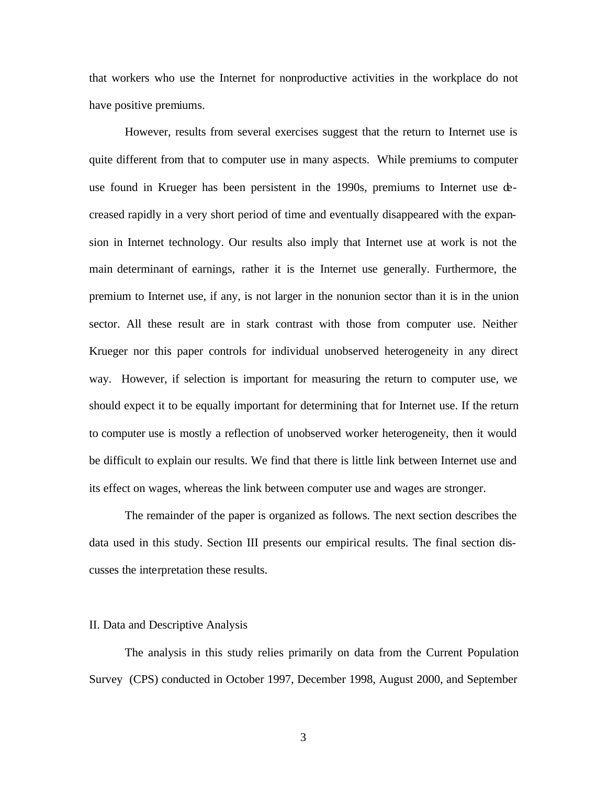that workers who use the Internet for nonproductive activities in the workplace do not have positive premiums.

However, results from several exercises suggest that the return to Internet use is quite different from that to computer use in many aspects. While premiums to computer use found in Krueger has been persistent in the 1990s, premiums to Internet use decreased rapidly in a very short period of time and eventually disappeared with the expansion in Internet technology. Our results also imply that Internet use at work is not the main determinant of earnings, rather it is the Internet use generally. Furthermore, the premium to Internet use, if any, is not larger in the nonunion sector than it is in the union sector. All these result are in stark contrast with those from computer use. Neither Krueger nor this paper controls for individual unobserved heterogeneity in any direct way. However, if selection is important for measuring the return to computer use, we should expect it to be equally important for determining that for Internet use. If the return to computer use is mostly a reflection of unobserved worker heterogeneity, then it would be difficult to explain our results. We find that there is little link between Internet use and its effect on wages, whereas the link between computer use and wages are stronger.

The remainder of the paper is organized as follows. The next section describes the data used in this study. Section III presents our empirical results. The final section discusses the interpretation these results.

#### II. Data and Descriptive Analysis

The analysis in this study relies primarily on data from the Current Population Survey (CPS) conducted in October 1997, December 1998, August 2000, and September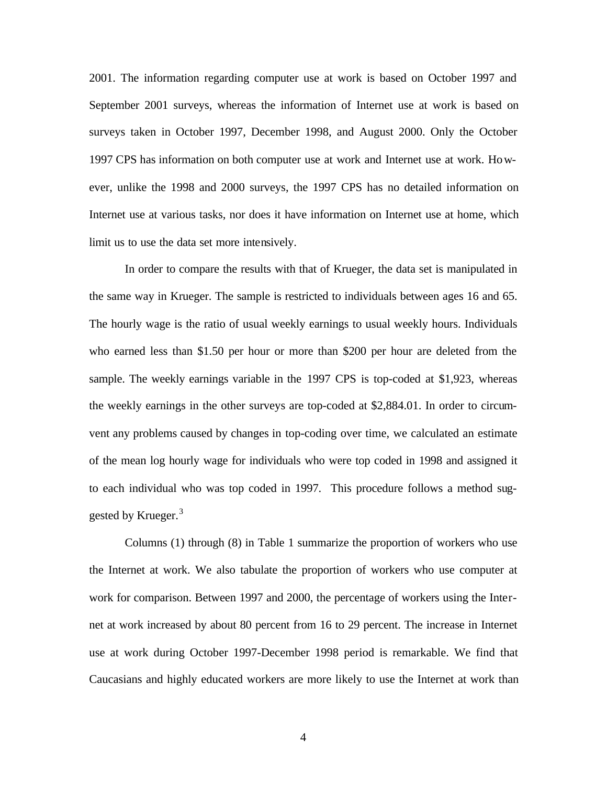2001. The information regarding computer use at work is based on October 1997 and September 2001 surveys, whereas the information of Internet use at work is based on surveys taken in October 1997, December 1998, and August 2000. Only the October 1997 CPS has information on both computer use at work and Internet use at work. However, unlike the 1998 and 2000 surveys, the 1997 CPS has no detailed information on Internet use at various tasks, nor does it have information on Internet use at home, which limit us to use the data set more intensively.

In order to compare the results with that of Krueger, the data set is manipulated in the same way in Krueger. The sample is restricted to individuals between ages 16 and 65. The hourly wage is the ratio of usual weekly earnings to usual weekly hours. Individuals who earned less than \$1.50 per hour or more than \$200 per hour are deleted from the sample. The weekly earnings variable in the 1997 CPS is top-coded at \$1,923, whereas the weekly earnings in the other surveys are top-coded at \$2,884.01. In order to circumvent any problems caused by changes in top-coding over time, we calculated an estimate of the mean log hourly wage for individuals who were top coded in 1998 and assigned it to each individual who was top coded in 1997. This procedure follows a method suggested by Krueger.<sup>3</sup>

Columns (1) through (8) in Table 1 summarize the proportion of workers who use the Internet at work. We also tabulate the proportion of workers who use computer at work for comparison. Between 1997 and 2000, the percentage of workers using the Internet at work increased by about 80 percent from 16 to 29 percent. The increase in Internet use at work during October 1997-December 1998 period is remarkable. We find that Caucasians and highly educated workers are more likely to use the Internet at work than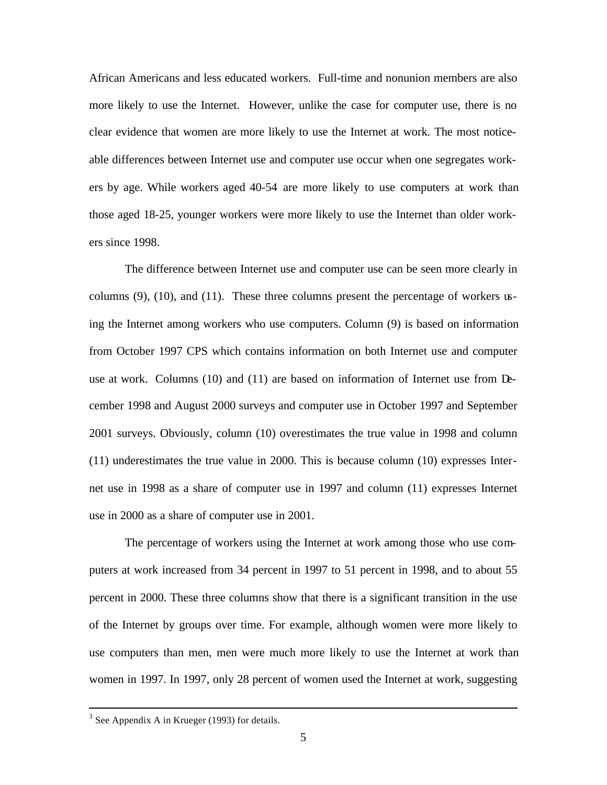African Americans and less educated workers. Full-time and nonunion members are also more likely to use the Internet. However, unlike the case for computer use, there is no clear evidence that women are more likely to use the Internet at work. The most noticeable differences between Internet use and computer use occur when one segregates workers by age. While workers aged 40-54 are more likely to use computers at work than those aged 18-25, younger workers were more likely to use the Internet than older workers since 1998.

The difference between Internet use and computer use can be seen more clearly in columns (9), (10), and (11). These three columns present the percentage of workers using the Internet among workers who use computers. Column (9) is based on information from October 1997 CPS which contains information on both Internet use and computer use at work. Columns (10) and (11) are based on information of Internet use from December 1998 and August 2000 surveys and computer use in October 1997 and September 2001 surveys. Obviously, column (10) overestimates the true value in 1998 and column (11) underestimates the true value in 2000. This is because column (10) expresses Internet use in 1998 as a share of computer use in 1997 and column (11) expresses Internet use in 2000 as a share of computer use in 2001.

The percentage of workers using the Internet at work among those who use computers at work increased from 34 percent in 1997 to 51 percent in 1998, and to about 55 percent in 2000. These three columns show that there is a significant transition in the use of the Internet by groups over time. For example, although women were more likely to use computers than men, men were much more likely to use the Internet at work than women in 1997. In 1997, only 28 percent of women used the Internet at work, suggesting

 $\overline{a}$ 

 $3$  See Appendix A in Krueger (1993) for details.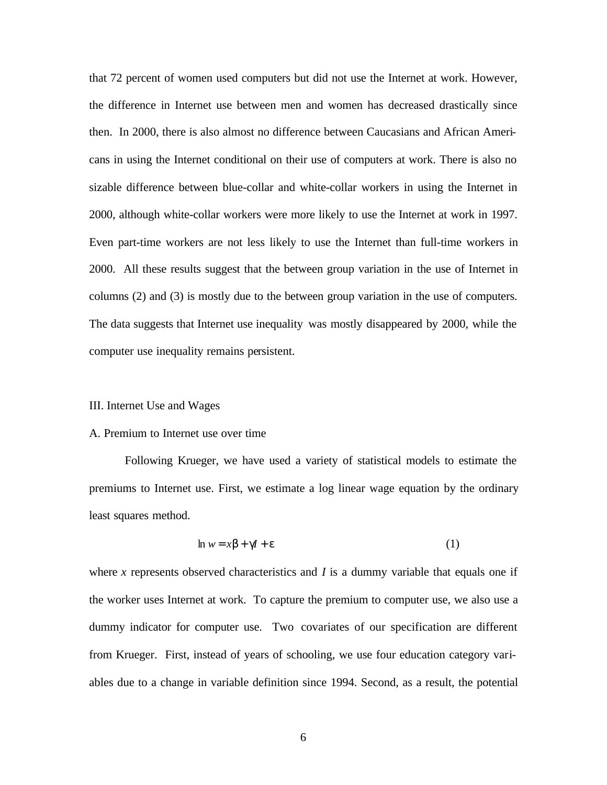that 72 percent of women used computers but did not use the Internet at work. However, the difference in Internet use between men and women has decreased drastically since then. In 2000, there is also almost no difference between Caucasians and African Americans in using the Internet conditional on their use of computers at work. There is also no sizable difference between blue-collar and white-collar workers in using the Internet in 2000, although white-collar workers were more likely to use the Internet at work in 1997. Even part-time workers are not less likely to use the Internet than full-time workers in 2000. All these results suggest that the between group variation in the use of Internet in columns (2) and (3) is mostly due to the between group variation in the use of computers. The data suggests that Internet use inequality was mostly disappeared by 2000, while the computer use inequality remains persistent.

#### III. Internet Use and Wages

#### A. Premium to Internet use over time

Following Krueger, we have used a variety of statistical models to estimate the premiums to Internet use. First, we estimate a log linear wage equation by the ordinary least squares method.

$$
\ln w = x\beta + \gamma I + \varepsilon \tag{1}
$$

where  $x$  represents observed characteristics and  $I$  is a dummy variable that equals one if the worker uses Internet at work. To capture the premium to computer use, we also use a dummy indicator for computer use. Two covariates of our specification are different from Krueger. First, instead of years of schooling, we use four education category variables due to a change in variable definition since 1994. Second, as a result, the potential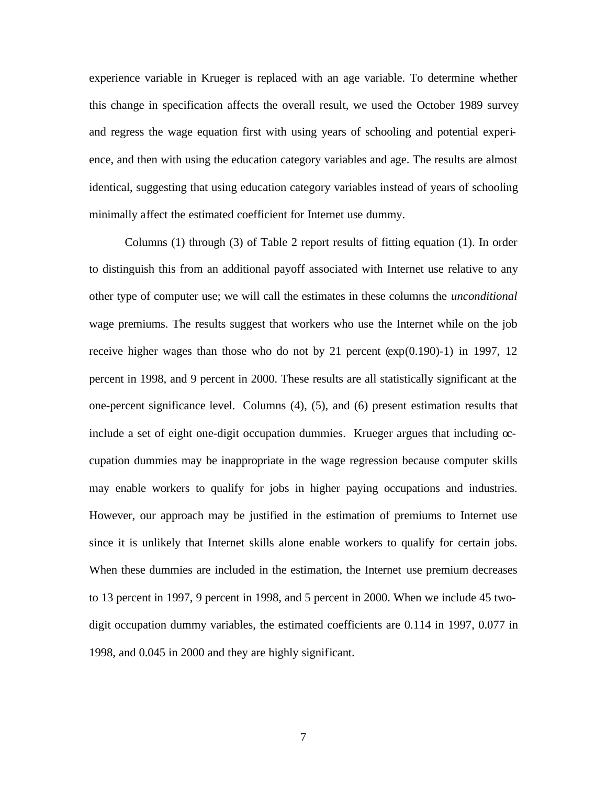experience variable in Krueger is replaced with an age variable. To determine whether this change in specification affects the overall result, we used the October 1989 survey and regress the wage equation first with using years of schooling and potential experience, and then with using the education category variables and age. The results are almost identical, suggesting that using education category variables instead of years of schooling minimally affect the estimated coefficient for Internet use dummy.

Columns (1) through (3) of Table 2 report results of fitting equation (1). In order to distinguish this from an additional payoff associated with Internet use relative to any other type of computer use; we will call the estimates in these columns the *unconditional* wage premiums. The results suggest that workers who use the Internet while on the job receive higher wages than those who do not by 21 percent  $(\exp(0.190) - 1)$  in 1997, 12 percent in 1998, and 9 percent in 2000. These results are all statistically significant at the one-percent significance level. Columns (4), (5), and (6) present estimation results that include a set of eight one-digit occupation dummies. Krueger argues that including  $\infty$ cupation dummies may be inappropriate in the wage regression because computer skills may enable workers to qualify for jobs in higher paying occupations and industries. However, our approach may be justified in the estimation of premiums to Internet use since it is unlikely that Internet skills alone enable workers to qualify for certain jobs. When these dummies are included in the estimation, the Internet use premium decreases to 13 percent in 1997, 9 percent in 1998, and 5 percent in 2000. When we include 45 twodigit occupation dummy variables, the estimated coefficients are 0.114 in 1997, 0.077 in 1998, and 0.045 in 2000 and they are highly significant.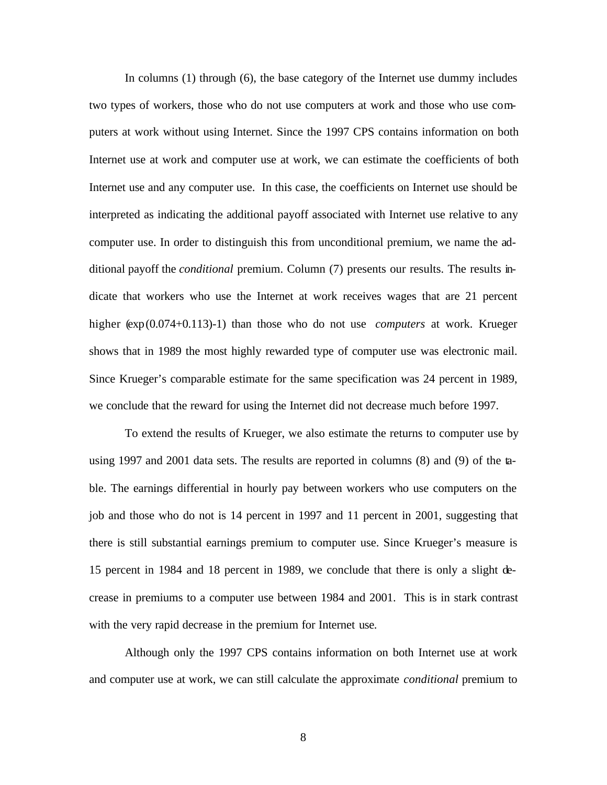In columns (1) through (6), the base category of the Internet use dummy includes two types of workers, those who do not use computers at work and those who use computers at work without using Internet. Since the 1997 CPS contains information on both Internet use at work and computer use at work, we can estimate the coefficients of both Internet use and any computer use. In this case, the coefficients on Internet use should be interpreted as indicating the additional payoff associated with Internet use relative to any computer use. In order to distinguish this from unconditional premium, we name the additional payoff the *conditional* premium. Column (7) presents our results. The results indicate that workers who use the Internet at work receives wages that are 21 percent higher (exp(0.074+0.113)-1) than those who do not use *computers* at work. Krueger shows that in 1989 the most highly rewarded type of computer use was electronic mail. Since Krueger's comparable estimate for the same specification was 24 percent in 1989, we conclude that the reward for using the Internet did not decrease much before 1997.

To extend the results of Krueger, we also estimate the returns to computer use by using 1997 and 2001 data sets. The results are reported in columns (8) and (9) of the table. The earnings differential in hourly pay between workers who use computers on the job and those who do not is 14 percent in 1997 and 11 percent in 2001, suggesting that there is still substantial earnings premium to computer use. Since Krueger's measure is 15 percent in 1984 and 18 percent in 1989, we conclude that there is only a slight decrease in premiums to a computer use between 1984 and 2001. This is in stark contrast with the very rapid decrease in the premium for Internet use.

Although only the 1997 CPS contains information on both Internet use at work and computer use at work, we can still calculate the approximate *conditional* premium to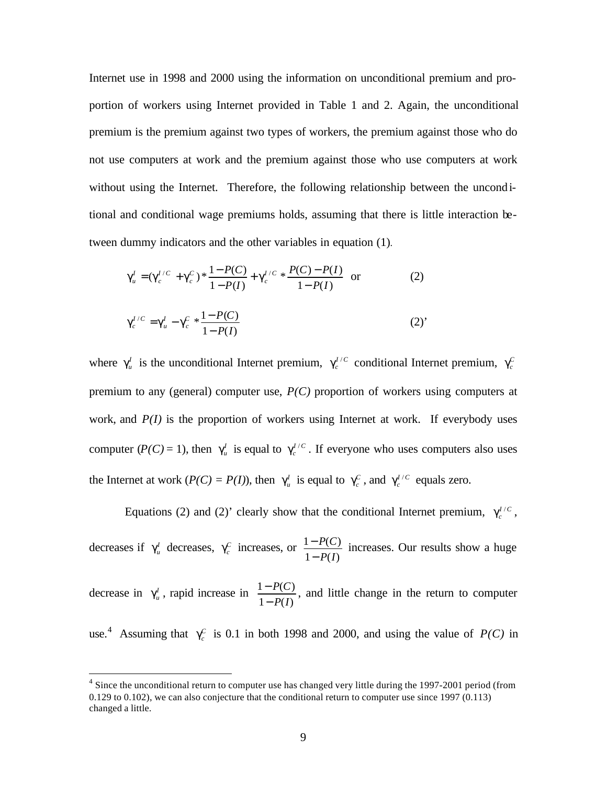Internet use in 1998 and 2000 using the information on unconditional premium and proportion of workers using Internet provided in Table 1 and 2. Again, the unconditional premium is the premium against two types of workers, the premium against those who do not use computers at work and the premium against those who use computers at work without using the Internet. Therefore, the following relationship between the unconditional and conditional wage premiums holds, assuming that there is little interaction between dummy indicators and the other variables in equation (1).

$$
\gamma_u^I = (\gamma_c^{I/C} + \gamma_c^C) * \frac{1 - P(C)}{1 - P(I)} + \gamma_c^{I/C} * \frac{P(C) - P(I)}{1 - P(I)}
$$
 or (2)

$$
\gamma_c^{I/C} = \gamma_u^I - \gamma_c^C * \frac{1 - P(C)}{1 - P(I)}\tag{2'}
$$

where  $\gamma_u^I$  is the unconditional Internet premium,  $\gamma_c^{I/C}$  conditional Internet premium,  $\gamma_c^C$ premium to any (general) computer use, *P(C)* proportion of workers using computers at work, and *P(I)* is the proportion of workers using Internet at work. If everybody uses computer  $(P(C) = 1)$ , then  $\gamma_u^I$  is equal to  $\gamma_c^{I/C}$ . If everyone who uses computers also uses the Internet at work  $(P(C) = P(I))$ , then  $\gamma_u^I$  is equal to  $\gamma_c^C$ , and  $\gamma_c^{I/C}$  equals zero.

Equations (2) and (2)' clearly show that the conditional Internet premium,  $\gamma_c^{I/C}$ ,

decreases if  $\gamma_u^I$  decreases,  $\gamma_c^C$  increases, or  $1 - P(I)$  $1 - P(C)$ *P I P C* −  $\frac{-P(C)}{P(C)}$  increases. Our results show a huge

decrease in  $\gamma_u^I$ , rapid increase in  $1 - P(I)$  $1 - P(C)$ *P I P C* −  $\frac{-P(C)}{P(C)}$ , and little change in the return to computer

use.<sup>4</sup> Assuming that  $\gamma_c^C$  is 0.1 in both 1998 and 2000, and using the value of *P(C)* in

 $\overline{a}$ 

<sup>&</sup>lt;sup>4</sup> Since the unconditional return to computer use has changed very little during the 1997-2001 period (from 0.129 to 0.102), we can also conjecture that the conditional return to computer use since 1997 (0.113) changed a little.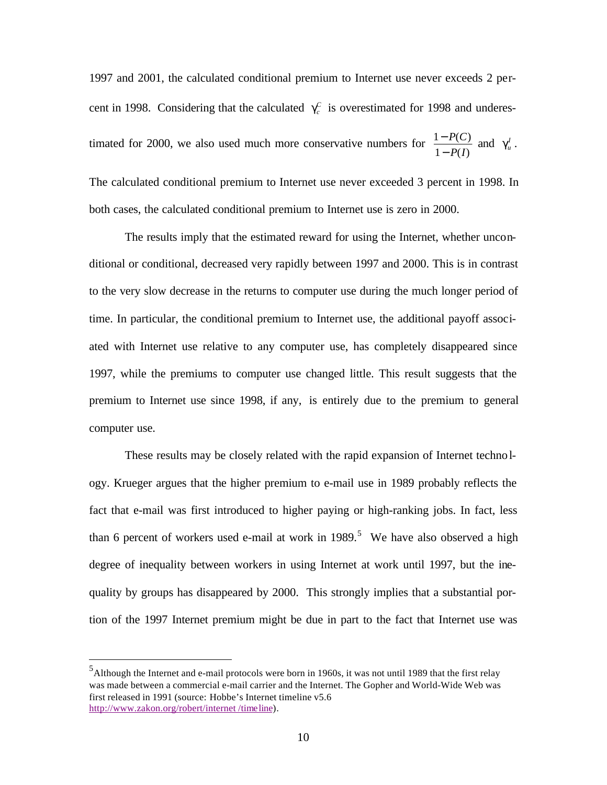1997 and 2001, the calculated conditional premium to Internet use never exceeds 2 percent in 1998. Considering that the calculated  $\gamma_c^c$  is overestimated for 1998 and underestimated for 2000, we also used much more conservative numbers for  $1 - P(I)$  $1 - P(C)$ *P I P C* −  $\frac{-P(C)}{P(D)}$  and  $\gamma_u^I$ . The calculated conditional premium to Internet use never exceeded 3 percent in 1998. In both cases, the calculated conditional premium to Internet use is zero in 2000.

The results imply that the estimated reward for using the Internet, whether unconditional or conditional, decreased very rapidly between 1997 and 2000. This is in contrast to the very slow decrease in the returns to computer use during the much longer period of time. In particular, the conditional premium to Internet use, the additional payoff associated with Internet use relative to any computer use, has completely disappeared since 1997, while the premiums to computer use changed little. This result suggests that the premium to Internet use since 1998, if any, is entirely due to the premium to general computer use.

These results may be closely related with the rapid expansion of Internet technology. Krueger argues that the higher premium to e-mail use in 1989 probably reflects the fact that e-mail was first introduced to higher paying or high-ranking jobs. In fact, less than 6 percent of workers used e-mail at work in  $1989$ .<sup>5</sup> We have also observed a high degree of inequality between workers in using Internet at work until 1997, but the inequality by groups has disappeared by 2000. This strongly implies that a substantial portion of the 1997 Internet premium might be due in part to the fact that Internet use was

 $\overline{a}$ 

<sup>5</sup>Although the Internet and e-mail protocols were born in 1960s, it was not until 1989 that the first relay was made between a commercial e-mail carrier and the Internet. The Gopher and World-Wide Web was first released in 1991 (source: Hobbe's Internet timeline v5.6 http://www.zakon.org/robert/internet /timeline).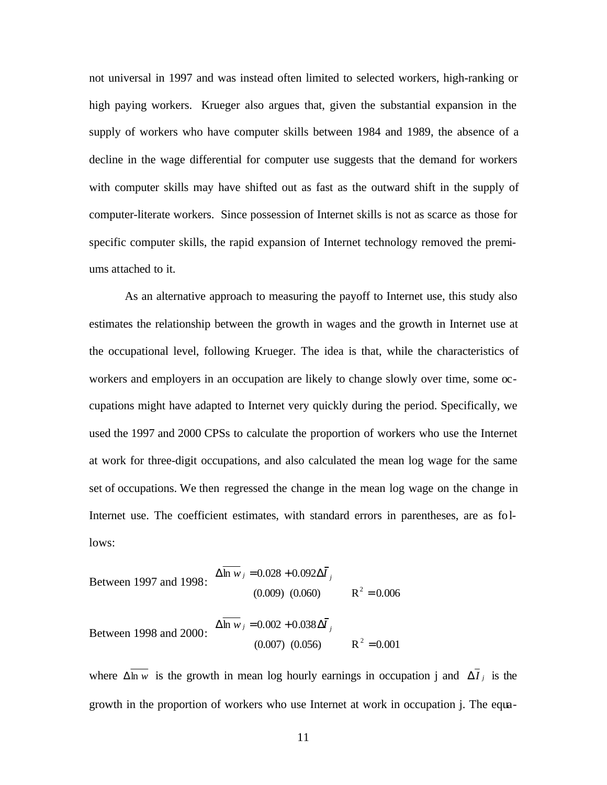not universal in 1997 and was instead often limited to selected workers, high-ranking or high paying workers. Krueger also argues that, given the substantial expansion in the supply of workers who have computer skills between 1984 and 1989, the absence of a decline in the wage differential for computer use suggests that the demand for workers with computer skills may have shifted out as fast as the outward shift in the supply of computer-literate workers. Since possession of Internet skills is not as scarce as those for specific computer skills, the rapid expansion of Internet technology removed the premiums attached to it.

As an alternative approach to measuring the payoff to Internet use, this study also estimates the relationship between the growth in wages and the growth in Internet use at the occupational level, following Krueger. The idea is that, while the characteristics of workers and employers in an occupation are likely to change slowly over time, some occupations might have adapted to Internet very quickly during the period. Specifically, we used the 1997 and 2000 CPSs to calculate the proportion of workers who use the Internet at work for three-digit occupations, and also calculated the mean log wage for the same set of occupations. We then regressed the change in the mean log wage on the change in Internet use. The coefficient estimates, with standard errors in parentheses, are as follows:

$$
\text{Between 1997 and 1998:} \quad \Delta \overline{\ln w}_j = 0.028 + 0.092 \Delta \overline{I}_j
$$
\n
$$
(0.009) \quad (0.060) \qquad \text{R}^2 = 0.006
$$

Between 1998 and 2000:  $(0.007)$   $(0.056)$   $R^2 = 0.001$  $\Delta$ ln *w j* = 0.002 + 0.038 $\Delta I$  *j*  $2 =$ 

where  $\Delta \overline{\ln w}$  is the growth in mean log hourly earnings in occupation j and  $\Delta I_j$  is the growth in the proportion of workers who use Internet at work in occupation j. The equa-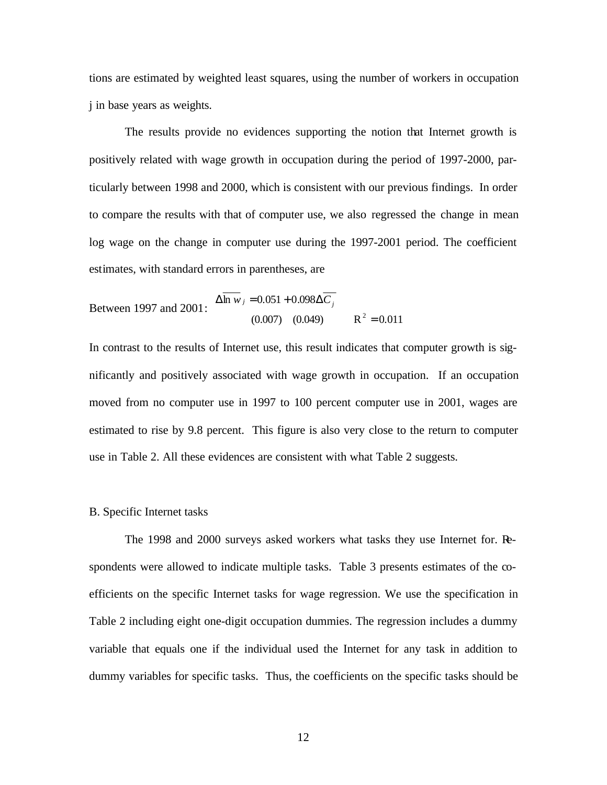tions are estimated by weighted least squares, using the number of workers in occupation j in base years as weights.

The results provide no evidences supporting the notion that Internet growth is positively related with wage growth in occupation during the period of 1997-2000, particularly between 1998 and 2000, which is consistent with our previous findings. In order to compare the results with that of computer use, we also regressed the change in mean log wage on the change in computer use during the 1997-2001 period. The coefficient estimates, with standard errors in parentheses, are

$$
\text{Between 1997 and 2001:} \quad \Delta \overline{\ln w}_j = 0.051 + 0.098 \Delta \overline{C}_j
$$
\n
$$
(0.007) \quad (0.049) \qquad \mathbf{R}^2 = 0.011
$$

In contrast to the results of Internet use, this result indicates that computer growth is significantly and positively associated with wage growth in occupation. If an occupation moved from no computer use in 1997 to 100 percent computer use in 2001, wages are estimated to rise by 9.8 percent. This figure is also very close to the return to computer use in Table 2. All these evidences are consistent with what Table 2 suggests.

## B. Specific Internet tasks

The 1998 and 2000 surveys asked workers what tasks they use Internet for. Respondents were allowed to indicate multiple tasks. Table 3 presents estimates of the coefficients on the specific Internet tasks for wage regression. We use the specification in Table 2 including eight one-digit occupation dummies. The regression includes a dummy variable that equals one if the individual used the Internet for any task in addition to dummy variables for specific tasks. Thus, the coefficients on the specific tasks should be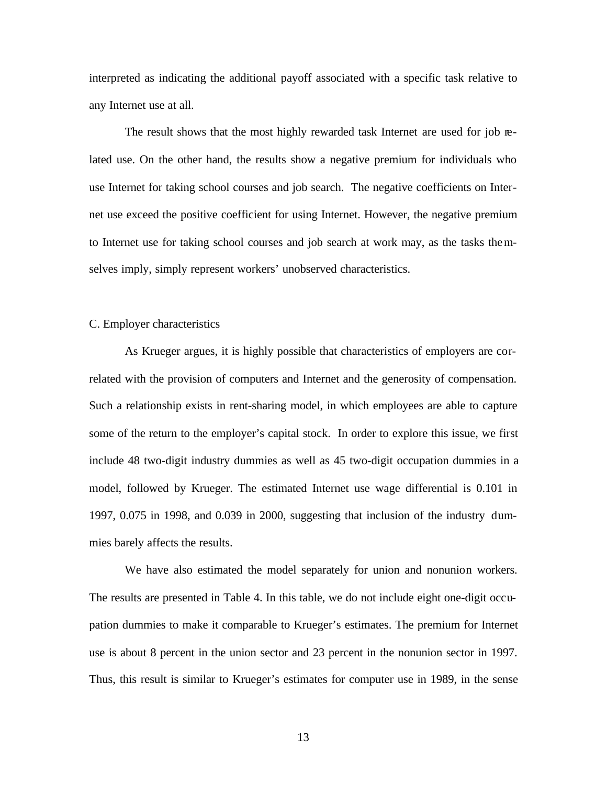interpreted as indicating the additional payoff associated with a specific task relative to any Internet use at all.

The result shows that the most highly rewarded task Internet are used for job related use. On the other hand, the results show a negative premium for individuals who use Internet for taking school courses and job search. The negative coefficients on Internet use exceed the positive coefficient for using Internet. However, the negative premium to Internet use for taking school courses and job search at work may, as the tasks themselves imply, simply represent workers' unobserved characteristics.

# C. Employer characteristics

As Krueger argues, it is highly possible that characteristics of employers are correlated with the provision of computers and Internet and the generosity of compensation. Such a relationship exists in rent-sharing model, in which employees are able to capture some of the return to the employer's capital stock. In order to explore this issue, we first include 48 two-digit industry dummies as well as 45 two-digit occupation dummies in a model, followed by Krueger. The estimated Internet use wage differential is 0.101 in 1997, 0.075 in 1998, and 0.039 in 2000, suggesting that inclusion of the industry dummies barely affects the results.

We have also estimated the model separately for union and nonunion workers. The results are presented in Table 4. In this table, we do not include eight one-digit occupation dummies to make it comparable to Krueger's estimates. The premium for Internet use is about 8 percent in the union sector and 23 percent in the nonunion sector in 1997. Thus, this result is similar to Krueger's estimates for computer use in 1989, in the sense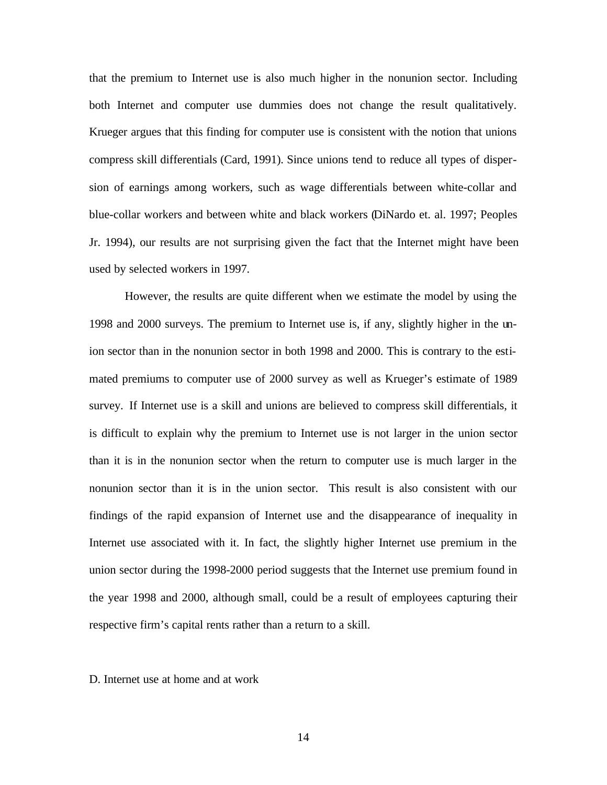that the premium to Internet use is also much higher in the nonunion sector. Including both Internet and computer use dummies does not change the result qualitatively. Krueger argues that this finding for computer use is consistent with the notion that unions compress skill differentials (Card, 1991). Since unions tend to reduce all types of dispersion of earnings among workers, such as wage differentials between white-collar and blue-collar workers and between white and black workers (DiNardo et. al. 1997; Peoples Jr. 1994), our results are not surprising given the fact that the Internet might have been used by selected workers in 1997.

However, the results are quite different when we estimate the model by using the 1998 and 2000 surveys. The premium to Internet use is, if any, slightly higher in the union sector than in the nonunion sector in both 1998 and 2000. This is contrary to the estimated premiums to computer use of 2000 survey as well as Krueger's estimate of 1989 survey. If Internet use is a skill and unions are believed to compress skill differentials, it is difficult to explain why the premium to Internet use is not larger in the union sector than it is in the nonunion sector when the return to computer use is much larger in the nonunion sector than it is in the union sector. This result is also consistent with our findings of the rapid expansion of Internet use and the disappearance of inequality in Internet use associated with it. In fact, the slightly higher Internet use premium in the union sector during the 1998-2000 period suggests that the Internet use premium found in the year 1998 and 2000, although small, could be a result of employees capturing their respective firm's capital rents rather than a return to a skill.

D. Internet use at home and at work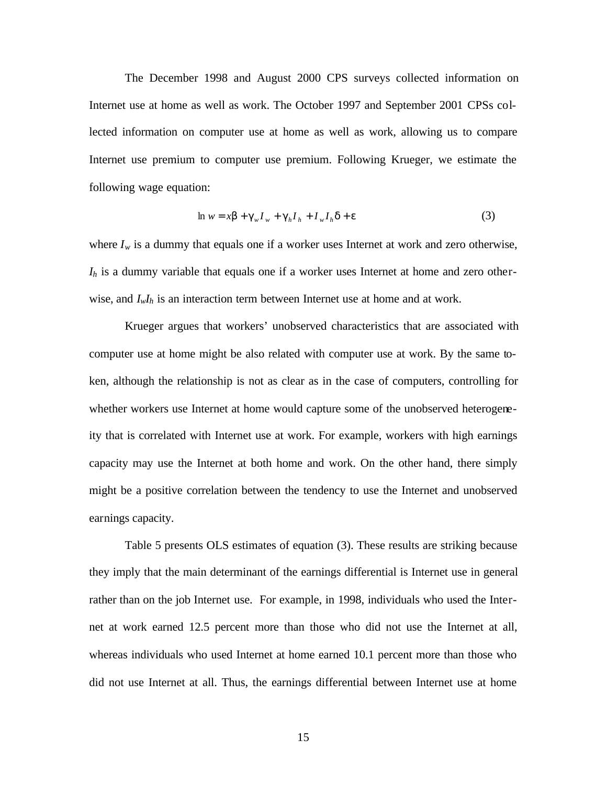The December 1998 and August 2000 CPS surveys collected information on Internet use at home as well as work. The October 1997 and September 2001 CPSs collected information on computer use at home as well as work, allowing us to compare Internet use premium to computer use premium. Following Krueger, we estimate the following wage equation:

$$
\ln w = x\beta + \gamma_w I_w + \gamma_h I_h + I_w I_h \delta + \varepsilon \tag{3}
$$

where  $I_w$  is a dummy that equals one if a worker uses Internet at work and zero otherwise, *Ih* is a dummy variable that equals one if a worker uses Internet at home and zero otherwise, and *IwIh* is an interaction term between Internet use at home and at work.

Krueger argues that workers' unobserved characteristics that are associated with computer use at home might be also related with computer use at work. By the same token, although the relationship is not as clear as in the case of computers, controlling for whether workers use Internet at home would capture some of the unobserved heterogeneity that is correlated with Internet use at work. For example, workers with high earnings capacity may use the Internet at both home and work. On the other hand, there simply might be a positive correlation between the tendency to use the Internet and unobserved earnings capacity.

Table 5 presents OLS estimates of equation (3). These results are striking because they imply that the main determinant of the earnings differential is Internet use in general rather than on the job Internet use. For example, in 1998, individuals who used the Internet at work earned 12.5 percent more than those who did not use the Internet at all, whereas individuals who used Internet at home earned 10.1 percent more than those who did not use Internet at all. Thus, the earnings differential between Internet use at home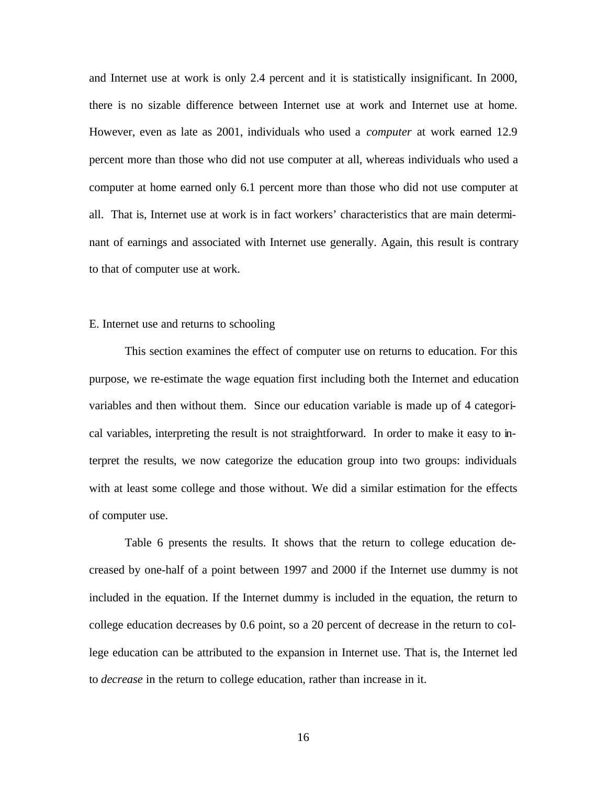and Internet use at work is only 2.4 percent and it is statistically insignificant. In 2000, there is no sizable difference between Internet use at work and Internet use at home. However, even as late as 2001, individuals who used a *computer* at work earned 12.9 percent more than those who did not use computer at all, whereas individuals who used a computer at home earned only 6.1 percent more than those who did not use computer at all. That is, Internet use at work is in fact workers' characteristics that are main determinant of earnings and associated with Internet use generally. Again, this result is contrary to that of computer use at work.

#### E. Internet use and returns to schooling

This section examines the effect of computer use on returns to education. For this purpose, we re-estimate the wage equation first including both the Internet and education variables and then without them. Since our education variable is made up of 4 categorical variables, interpreting the result is not straightforward. In order to make it easy to interpret the results, we now categorize the education group into two groups: individuals with at least some college and those without. We did a similar estimation for the effects of computer use.

Table 6 presents the results. It shows that the return to college education decreased by one-half of a point between 1997 and 2000 if the Internet use dummy is not included in the equation. If the Internet dummy is included in the equation, the return to college education decreases by 0.6 point, so a 20 percent of decrease in the return to college education can be attributed to the expansion in Internet use. That is, the Internet led to *decrease* in the return to college education, rather than increase in it.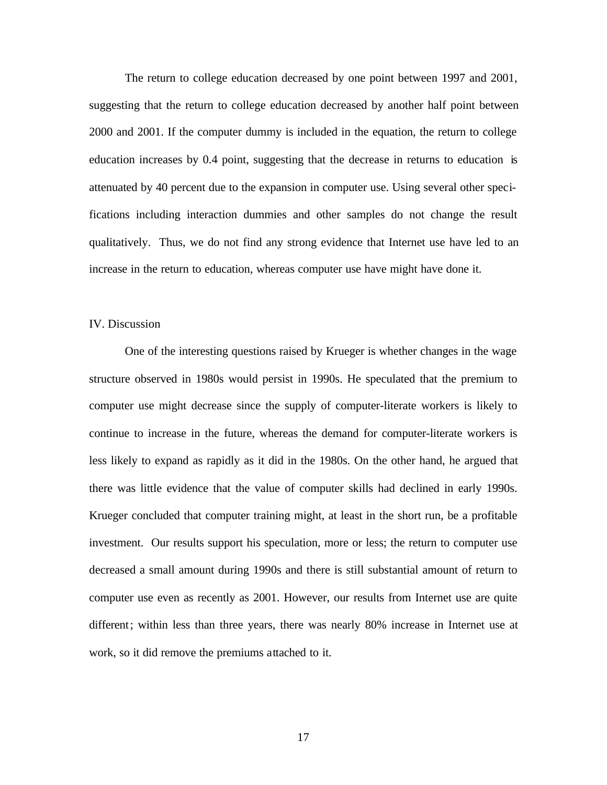The return to college education decreased by one point between 1997 and 2001, suggesting that the return to college education decreased by another half point between 2000 and 2001. If the computer dummy is included in the equation, the return to college education increases by 0.4 point, suggesting that the decrease in returns to education is attenuated by 40 percent due to the expansion in computer use. Using several other specifications including interaction dummies and other samples do not change the result qualitatively. Thus, we do not find any strong evidence that Internet use have led to an increase in the return to education, whereas computer use have might have done it.

## IV. Discussion

One of the interesting questions raised by Krueger is whether changes in the wage structure observed in 1980s would persist in 1990s. He speculated that the premium to computer use might decrease since the supply of computer-literate workers is likely to continue to increase in the future, whereas the demand for computer-literate workers is less likely to expand as rapidly as it did in the 1980s. On the other hand, he argued that there was little evidence that the value of computer skills had declined in early 1990s. Krueger concluded that computer training might, at least in the short run, be a profitable investment. Our results support his speculation, more or less; the return to computer use decreased a small amount during 1990s and there is still substantial amount of return to computer use even as recently as 2001. However, our results from Internet use are quite different; within less than three years, there was nearly 80% increase in Internet use at work, so it did remove the premiums attached to it.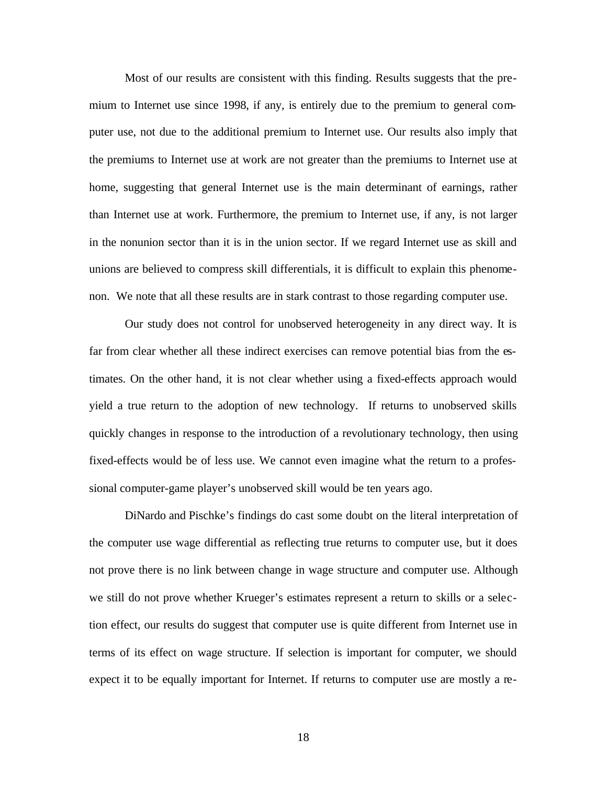Most of our results are consistent with this finding. Results suggests that the premium to Internet use since 1998, if any, is entirely due to the premium to general computer use, not due to the additional premium to Internet use. Our results also imply that the premiums to Internet use at work are not greater than the premiums to Internet use at home, suggesting that general Internet use is the main determinant of earnings, rather than Internet use at work. Furthermore, the premium to Internet use, if any, is not larger in the nonunion sector than it is in the union sector. If we regard Internet use as skill and unions are believed to compress skill differentials, it is difficult to explain this phenomenon. We note that all these results are in stark contrast to those regarding computer use.

Our study does not control for unobserved heterogeneity in any direct way. It is far from clear whether all these indirect exercises can remove potential bias from the estimates. On the other hand, it is not clear whether using a fixed-effects approach would yield a true return to the adoption of new technology. If returns to unobserved skills quickly changes in response to the introduction of a revolutionary technology, then using fixed-effects would be of less use. We cannot even imagine what the return to a professional computer-game player's unobserved skill would be ten years ago.

DiNardo and Pischke's findings do cast some doubt on the literal interpretation of the computer use wage differential as reflecting true returns to computer use, but it does not prove there is no link between change in wage structure and computer use. Although we still do not prove whether Krueger's estimates represent a return to skills or a selection effect, our results do suggest that computer use is quite different from Internet use in terms of its effect on wage structure. If selection is important for computer, we should expect it to be equally important for Internet. If returns to computer use are mostly a re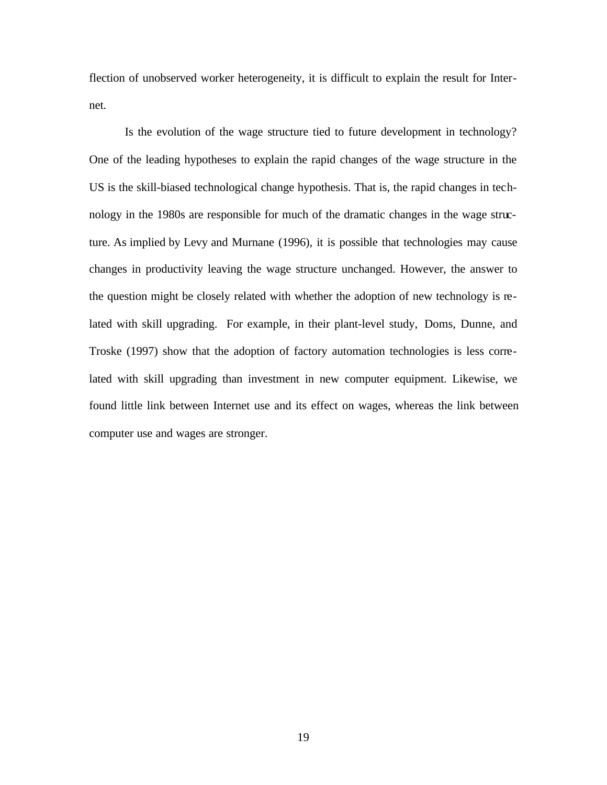flection of unobserved worker heterogeneity, it is difficult to explain the result for Internet.

Is the evolution of the wage structure tied to future development in technology? One of the leading hypotheses to explain the rapid changes of the wage structure in the US is the skill-biased technological change hypothesis. That is, the rapid changes in technology in the 1980s are responsible for much of the dramatic changes in the wage structure. As implied by Levy and Murnane (1996), it is possible that technologies may cause changes in productivity leaving the wage structure unchanged. However, the answer to the question might be closely related with whether the adoption of new technology is related with skill upgrading. For example, in their plant-level study, Doms, Dunne, and Troske (1997) show that the adoption of factory automation technologies is less correlated with skill upgrading than investment in new computer equipment. Likewise, we found little link between Internet use and its effect on wages, whereas the link between computer use and wages are stronger.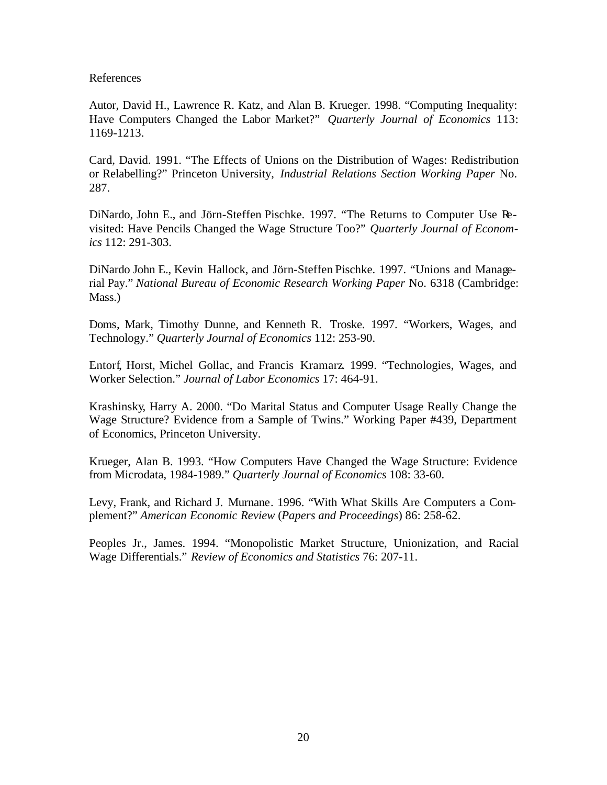References

Autor, David H., Lawrence R. Katz, and Alan B. Krueger. 1998. "Computing Inequality: Have Computers Changed the Labor Market?" *Quarterly Journal of Economics* 113: 1169-1213.

Card, David. 1991. "The Effects of Unions on the Distribution of Wages: Redistribution or Relabelling?" Princeton University, *Industrial Relations Section Working Paper* No. 287.

DiNardo, John E., and Jörn-Steffen Pischke. 1997. "The Returns to Computer Use Revisited: Have Pencils Changed the Wage Structure Too?" *Quarterly Journal of Economics* 112: 291-303.

DiNardo John E., Kevin Hallock, and Jörn-Steffen Pischke. 1997. "Unions and Managerial Pay." *National Bureau of Economic Research Working Paper* No. 6318 (Cambridge: Mass.)

Doms, Mark, Timothy Dunne, and Kenneth R. Troske. 1997. "Workers, Wages, and Technology." *Quarterly Journal of Economics* 112: 253-90.

Entorf, Horst, Michel Gollac, and Francis Kramarz. 1999. "Technologies, Wages, and Worker Selection." *Journal of Labor Economics* 17: 464-91.

Krashinsky, Harry A. 2000. "Do Marital Status and Computer Usage Really Change the Wage Structure? Evidence from a Sample of Twins." Working Paper #439, Department of Economics, Princeton University.

Krueger, Alan B. 1993. "How Computers Have Changed the Wage Structure: Evidence from Microdata, 1984-1989." *Quarterly Journal of Economics* 108: 33-60.

Levy, Frank, and Richard J. Murnane. 1996. "With What Skills Are Computers a Complement?" *American Economic Review* (*Papers and Proceedings*) 86: 258-62.

Peoples Jr., James. 1994. "Monopolistic Market Structure, Unionization, and Racial Wage Differentials." *Review of Economics and Statistics* 76: 207-11.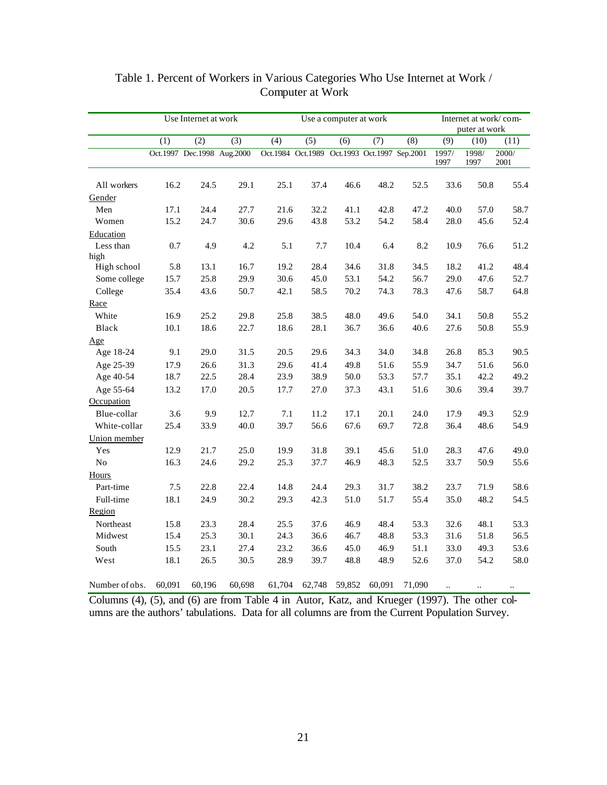|                |        | Use Internet at work       |        |                                              | Use a computer at work | Internet at work/com-<br>puter at work |        |        |               |               |               |
|----------------|--------|----------------------------|--------|----------------------------------------------|------------------------|----------------------------------------|--------|--------|---------------|---------------|---------------|
|                | (1)    | $\overline{(2)}$           | (3)    | (4)                                          | (5)                    | (6)                                    | (7)    | (8)    | (9)           | (10)          | (11)          |
|                |        | Oct.1997 Dec.1998 Aug.2000 |        | Oct.1984 Oct.1989 Oct.1993 Oct.1997 Sep.2001 |                        |                                        |        |        | 1997/<br>1997 | 1998/<br>1997 | 2000/<br>2001 |
| All workers    | 16.2   | 24.5                       | 29.1   | 25.1                                         | 37.4                   | 46.6                                   | 48.2   | 52.5   | 33.6          | 50.8          | 55.4          |
| Gender         |        |                            |        |                                              |                        |                                        |        |        |               |               |               |
| Men            | 17.1   | 24.4                       | 27.7   | 21.6                                         | 32.2                   | 41.1                                   | 42.8   | 47.2   | 40.0          | 57.0          | 58.7          |
| Women          | 15.2   | 24.7                       | 30.6   | 29.6                                         | 43.8                   | 53.2                                   | 54.2   | 58.4   | 28.0          | 45.6          | 52.4          |
| Education      |        |                            |        |                                              |                        |                                        |        |        |               |               |               |
| Less than      | 0.7    | 4.9                        | 4.2    | 5.1                                          | 7.7                    | 10.4                                   | 6.4    | 8.2    | 10.9          | 76.6          | 51.2          |
| high           |        |                            |        |                                              |                        |                                        |        |        |               |               |               |
| High school    | 5.8    | 13.1                       | 16.7   | 19.2                                         | 28.4                   | 34.6                                   | 31.8   | 34.5   | 18.2          | 41.2          | 48.4          |
| Some college   | 15.7   | 25.8                       | 29.9   | 30.6                                         | 45.0                   | 53.1                                   | 54.2   | 56.7   | 29.0          | 47.6          | 52.7          |
| College        | 35.4   | 43.6                       | 50.7   | 42.1                                         | 58.5                   | 70.2                                   | 74.3   | 78.3   | 47.6          | 58.7          | 64.8          |
| Race           |        |                            |        |                                              |                        |                                        |        |        |               |               |               |
| White          | 16.9   | 25.2                       | 29.8   | 25.8                                         | 38.5                   | 48.0                                   | 49.6   | 54.0   | 34.1          | 50.8          | 55.2          |
| Black          | 10.1   | 18.6                       | 22.7   | 18.6                                         | 28.1                   | 36.7                                   | 36.6   | 40.6   | 27.6          | 50.8          | 55.9          |
| Age            |        |                            |        |                                              |                        |                                        |        |        |               |               |               |
| Age 18-24      | 9.1    | 29.0                       | 31.5   | 20.5                                         | 29.6                   | 34.3                                   | 34.0   | 34.8   | 26.8          | 85.3          | 90.5          |
| Age 25-39      | 17.9   | 26.6                       | 31.3   | 29.6                                         | 41.4                   | 49.8                                   | 51.6   | 55.9   | 34.7          | 51.6          | 56.0          |
| Age 40-54      | 18.7   | 22.5                       | 28.4   | 23.9                                         | 38.9                   | 50.0                                   | 53.3   | 57.7   | 35.1          | 42.2          | 49.2          |
| Age 55-64      | 13.2   | 17.0                       | 20.5   | 17.7                                         | 27.0                   | 37.3                                   | 43.1   | 51.6   | 30.6          | 39.4          | 39.7          |
| Occupation     |        |                            |        |                                              |                        |                                        |        |        |               |               |               |
| Blue-collar    | 3.6    | 9.9                        | 12.7   | 7.1                                          | 11.2                   | 17.1                                   | 20.1   | 24.0   | 17.9          | 49.3          | 52.9          |
| White-collar   | 25.4   | 33.9                       | 40.0   | 39.7                                         | 56.6                   | 67.6                                   | 69.7   | 72.8   | 36.4          | 48.6          | 54.9          |
| Union member   |        |                            |        |                                              |                        |                                        |        |        |               |               |               |
| Yes            | 12.9   | 21.7                       | 25.0   | 19.9                                         | 31.8                   | 39.1                                   | 45.6   | 51.0   | 28.3          | 47.6          | 49.0          |
| $\rm No$       | 16.3   | 24.6                       | 29.2   | 25.3                                         | 37.7                   | 46.9                                   | 48.3   | 52.5   | 33.7          | 50.9          | 55.6          |
| Hours          |        |                            |        |                                              |                        |                                        |        |        |               |               |               |
| Part-time      | 7.5    | 22.8                       | 22.4   | 14.8                                         | 24.4                   | 29.3                                   | 31.7   | 38.2   | 23.7          | 71.9          | 58.6          |
| Full-time      | 18.1   | 24.9                       | 30.2   | 29.3                                         | 42.3                   | 51.0                                   | 51.7   | 55.4   | 35.0          | 48.2          | 54.5          |
| Region         |        |                            |        |                                              |                        |                                        |        |        |               |               |               |
| Northeast      | 15.8   | 23.3                       | 28.4   | 25.5                                         | 37.6                   | 46.9                                   | 48.4   | 53.3   | 32.6          | 48.1          | 53.3          |
| Midwest        | 15.4   | 25.3                       | 30.1   | 24.3                                         | 36.6                   | 46.7                                   | 48.8   | 53.3   | 31.6          | 51.8          | 56.5          |
| South          | 15.5   | 23.1                       | 27.4   | 23.2                                         | 36.6                   | 45.0                                   | 46.9   | 51.1   | 33.0          | 49.3          | 53.6          |
| West           | 18.1   | 26.5                       | 30.5   | 28.9                                         | 39.7                   | 48.8                                   | 48.9   | 52.6   | 37.0          | 54.2          | 58.0          |
| Number of obs. | 60,091 | 60,196                     | 60,698 | 61,704                                       | 62,748                 | 59,852                                 | 60,091 | 71,090 |               |               |               |

# Table 1. Percent of Workers in Various Categories Who Use Internet at Work / Computer at Work

Columns (4), (5), and (6) are from Table 4 in Autor, Katz, and Krueger (1997). The other columns are the authors' tabulations. Data for all columns are from the Current Population Survey.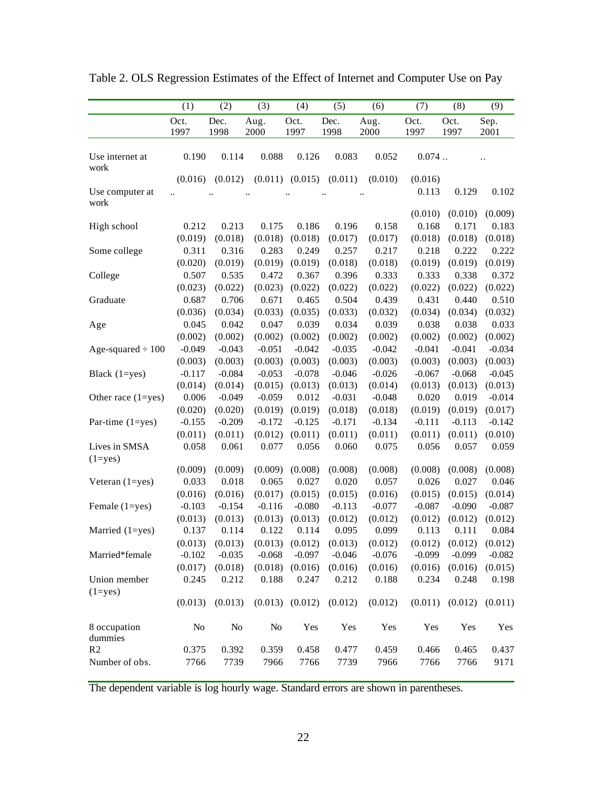|                         | (1)      | (2)      | (3)      | (4)                 | (5)      | (6)      | (7)      | (8)      | (9)                  |
|-------------------------|----------|----------|----------|---------------------|----------|----------|----------|----------|----------------------|
|                         | Oct.     | Dec.     | Aug.     | Oct.                | Dec.     | Aug.     | Oct.     | Oct.     | Sep.                 |
|                         | 1997     | 1998     | 2000     | 1997                | 1998     | 2000     | 1997     | 1997     | 2001                 |
| Use internet at<br>work | 0.190    | 0.114    | 0.088    | 0.126               | 0.083    | 0.052    | 0.074    |          | $\ddot{\phantom{0}}$ |
|                         | (0.016)  | (0.012)  |          | $(0.011)$ $(0.015)$ | (0.011)  | (0.010)  | (0.016)  |          |                      |
| Use computer at         |          |          |          |                     |          |          | 0.113    | 0.129    | 0.102                |
| work                    |          |          |          |                     |          |          | (0.010)  | (0.010)  | (0.009)              |
| High school             | 0.212    | 0.213    | 0.175    | 0.186               | 0.196    | 0.158    | 0.168    | 0.171    | 0.183                |
|                         | (0.019)  | (0.018)  | (0.018)  | (0.018)             | (0.017)  | (0.017)  | (0.018)  | (0.018)  | (0.018)              |
| Some college            | 0.311    | 0.316    | 0.283    | 0.249               | 0.257    | 0.217    | 0.218    | 0.222    | 0.222                |
|                         | (0.020)  | (0.019)  | (0.019)  | (0.019)             | (0.018)  | (0.018)  | (0.019)  | (0.019)  | (0.019)              |
| College                 | 0.507    | 0.535    | 0.472    | 0.367               | 0.396    | 0.333    | 0.333    | 0.338    | 0.372                |
|                         | (0.023)  | (0.022)  | (0.023)  | (0.022)             | (0.022)  | (0.022)  | (0.022)  | (0.022)  | (0.022)              |
| Graduate                | 0.687    | 0.706    | 0.671    | 0.465               | 0.504    | 0.439    | 0.431    | 0.440    | 0.510                |
|                         | (0.036)  | (0.034)  | (0.033)  | (0.035)             | (0.033)  | (0.032)  | (0.034)  | (0.034)  | (0.032)              |
| Age                     | 0.045    | 0.042    | 0.047    | 0.039               | 0.034    | 0.039    | 0.038    | 0.038    | 0.033                |
|                         | (0.002)  | (0.002)  | (0.002)  | (0.002)             | (0.002)  | (0.002)  | (0.002)  | (0.002)  | (0.002)              |
| Age-squared $\div 100$  | $-0.049$ | $-0.043$ | $-0.051$ | $-0.042$            | $-0.035$ | $-0.042$ | $-0.041$ | $-0.041$ | $-0.034$             |
|                         | (0.003)  | (0.003)  | (0.003)  | (0.003)             | (0.003)  | (0.003)  | (0.003)  | (0.003)  | (0.003)              |
| Black (1=yes)           | $-0.117$ | $-0.084$ | $-0.053$ | $-0.078$            | $-0.046$ | $-0.026$ | $-0.067$ | $-0.068$ | $-0.045$             |
|                         | (0.014)  | (0.014)  | (0.015)  | (0.013)             | (0.013)  | (0.014)  | (0.013)  | (0.013)  | (0.013)              |
| Other race $(1 = yes)$  | 0.006    | $-0.049$ | $-0.059$ | 0.012               | $-0.031$ | $-0.048$ | 0.020    | 0.019    | $-0.014$             |
|                         | (0.020)  | (0.020)  | (0.019)  | (0.019)             | (0.018)  | (0.018)  | (0.019)  | (0.019)  | (0.017)              |
| Par-time (1=yes)        | $-0.155$ | $-0.209$ | $-0.172$ | $-0.125$            | $-0.171$ | $-0.134$ | $-0.111$ | $-0.113$ | $-0.142$             |
|                         | (0.011)  | (0.011)  | (0.012)  | (0.011)             | (0.011)  | (0.011)  | (0.011)  | (0.011)  | (0.010)              |
| Lives in SMSA           | 0.058    | 0.061    | 0.077    | 0.056               | 0.060    | 0.075    | 0.056    | 0.057    | 0.059                |
| $(1 = yes)$             |          |          |          |                     |          |          |          |          |                      |
|                         | (0.009)  | (0.009)  | (0.009)  | (0.008)             | (0.008)  | (0.008)  | (0.008)  | (0.008)  | (0.008)              |
| Veteran $(1 = yes)$     | 0.033    | 0.018    | 0.065    | 0.027               | 0.020    | 0.057    | 0.026    | 0.027    | 0.046                |
|                         | (0.016)  | (0.016)  | (0.017)  | (0.015)             | (0.015)  | (0.016)  | (0.015)  | (0.015)  | (0.014)              |
| Female $(1 = yes)$      | $-0.103$ | $-0.154$ | $-0.116$ | $-0.080$            | $-0.113$ | $-0.077$ | $-0.087$ | $-0.090$ | $-0.087$             |
|                         | (0.013)  | (0.013)  | (0.013)  | (0.013)             | (0.012)  | (0.012)  | (0.012)  | (0.012)  | (0.012)              |
| Married (1=yes)         | 0.137    | 0.114    | 0.122    | 0.114               | 0.095    | 0.099    | 0.113    | 0.111    | 0.084                |
|                         | (0.013)  | (0.013)  | (0.013)  | (0.012)             | (0.013)  | (0.012)  | (0.012)  | (0.012)  | (0.012)              |
| Married*female          | $-0.102$ | $-0.035$ | $-0.068$ | $-0.097$            | $-0.046$ | $-0.076$ | $-0.099$ | $-0.099$ | $-0.082$             |
|                         | (0.017)  | (0.018)  | (0.018)  | (0.016)             | (0.016)  | (0.016)  | (0.016)  | (0.016)  | (0.015)              |
| Union member            | 0.245    | 0.212    | 0.188    | 0.247               | 0.212    | 0.188    | 0.234    | 0.248    | 0.198                |
| $(1 = yes)$             | (0.013)  | (0.013)  |          | $(0.013)$ $(0.012)$ | (0.012)  | (0.012)  | (0.011)  | (0.012)  | (0.011)              |
| 8 occupation<br>dummies | No       | $\rm No$ | No       | Yes                 | Yes      | Yes      | Yes      | Yes      | Yes                  |
| R2                      | 0.375    | 0.392    | 0.359    | 0.458               | 0.477    | 0.459    | 0.466    | 0.465    | 0.437                |
| Number of obs.          | 7766     | 7739     | 7966     | 7766                | 7739     | 7966     | 7766     | 7766     | 9171                 |

Table 2. OLS Regression Estimates of the Effect of Internet and Computer Use on Pay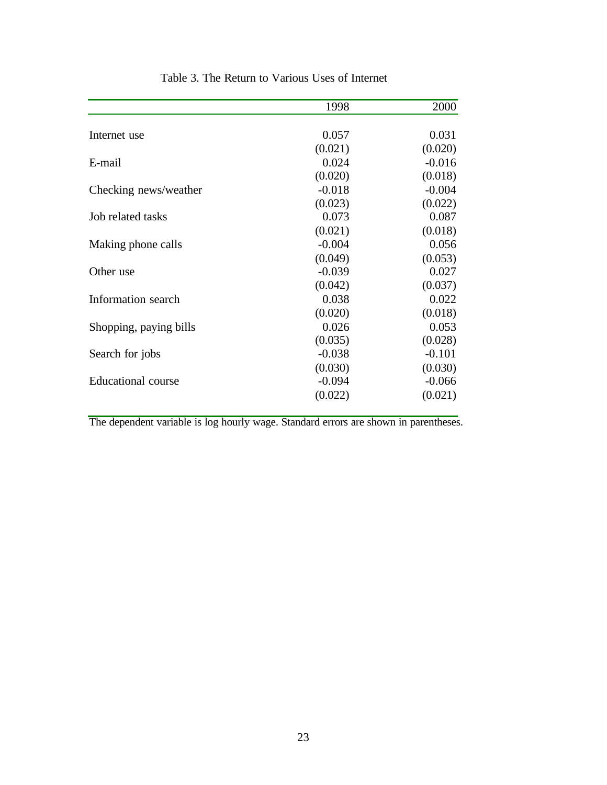|                           | 1998     | 2000     |
|---------------------------|----------|----------|
|                           |          |          |
| Internet use              | 0.057    | 0.031    |
|                           | (0.021)  | (0.020)  |
| E-mail                    | 0.024    | $-0.016$ |
|                           | (0.020)  | (0.018)  |
| Checking news/weather     | $-0.018$ | $-0.004$ |
|                           | (0.023)  | (0.022)  |
| Job related tasks         | 0.073    | 0.087    |
|                           | (0.021)  | (0.018)  |
| Making phone calls        | $-0.004$ | 0.056    |
|                           | (0.049)  | (0.053)  |
| Other use                 | $-0.039$ | 0.027    |
|                           | (0.042)  | (0.037)  |
| Information search        | 0.038    | 0.022    |
|                           | (0.020)  | (0.018)  |
| Shopping, paying bills    | 0.026    | 0.053    |
|                           | (0.035)  | (0.028)  |
| Search for jobs           | $-0.038$ | $-0.101$ |
|                           | (0.030)  | (0.030)  |
| <b>Educational</b> course | $-0.094$ | $-0.066$ |
|                           | (0.022)  | (0.021)  |
|                           |          |          |

Table 3. The Return to Various Uses of Internet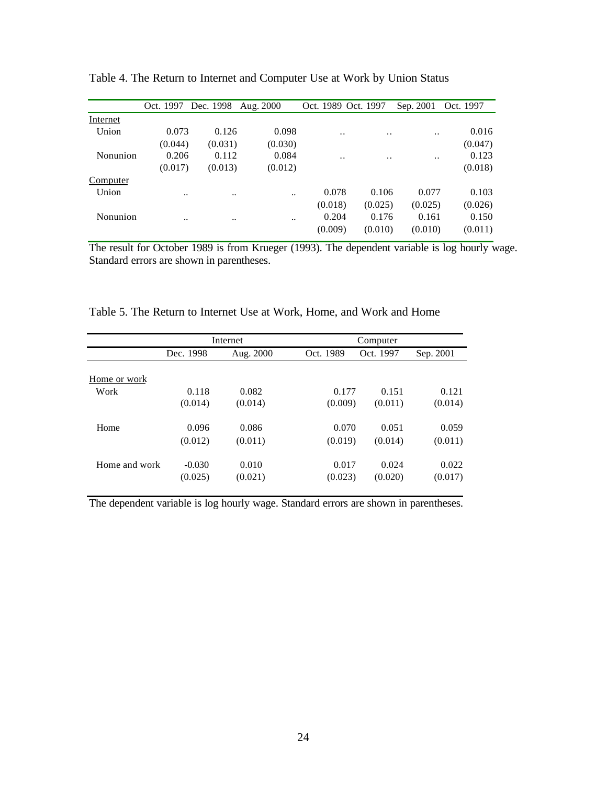|                      |                                                                     |                      |     |                                                             | Oct. 1997                                         |
|----------------------|---------------------------------------------------------------------|----------------------|-----|-------------------------------------------------------------|---------------------------------------------------|
|                      |                                                                     |                      |     |                                                             |                                                   |
| 0.126                | 0.098                                                               | $\ddot{\phantom{0}}$ | . . | $\ddot{\phantom{0}}$                                        | 0.016                                             |
| (0.031)              | (0.030)                                                             |                      |     |                                                             | (0.047)                                           |
| 0.112                | 0.084                                                               | $\ddot{\phantom{0}}$ | . . | . .                                                         | 0.123                                             |
| (0.013)              | (0.012)                                                             |                      |     |                                                             | (0.018)                                           |
|                      |                                                                     |                      |     |                                                             |                                                   |
| $\ddot{\phantom{0}}$ |                                                                     |                      |     | 0.077                                                       | 0.103                                             |
|                      |                                                                     |                      |     | (0.025)                                                     | (0.026)                                           |
| $\ddotsc$            |                                                                     |                      |     | 0.161                                                       | 0.150                                             |
|                      |                                                                     |                      |     | (0.010)                                                     | (0.011)                                           |
|                      | Oct. 1997 Dec. 1998<br>0.073<br>(0.044)<br>0.206<br>(0.017)<br><br> | Aug. 2000            |     | Oct. 1989 Oct. 1997<br>0.078<br>(0.018)<br>0.204<br>(0.009) | Sep. 2001<br>0.106<br>(0.025)<br>0.176<br>(0.010) |

Table 4. The Return to Internet and Computer Use at Work by Union Status

The result for October 1989 is from Krueger (1993). The dependent variable is log hourly wage. Standard errors are shown in parentheses.

|  |  | Table 5. The Return to Internet Use at Work, Home, and Work and Home |  |  |  |  |  |  |
|--|--|----------------------------------------------------------------------|--|--|--|--|--|--|
|--|--|----------------------------------------------------------------------|--|--|--|--|--|--|

|               |           | Internet  | Computer  |           |           |  |  |  |  |
|---------------|-----------|-----------|-----------|-----------|-----------|--|--|--|--|
|               | Dec. 1998 | Aug. 2000 | Oct. 1989 | Oct. 1997 | Sep. 2001 |  |  |  |  |
| Home or work  |           |           |           |           |           |  |  |  |  |
| Work          | 0.118     | 0.082     | 0.177     | 0.151     | 0.121     |  |  |  |  |
|               | (0.014)   | (0.014)   | (0.009)   | (0.011)   | (0.014)   |  |  |  |  |
| Home          | 0.096     | 0.086     | 0.070     | 0.051     | 0.059     |  |  |  |  |
|               | (0.012)   | (0.011)   | (0.019)   | (0.014)   | (0.011)   |  |  |  |  |
| Home and work | $-0.030$  | 0.010     | 0.017     | 0.024     | 0.022     |  |  |  |  |
|               | (0.025)   | (0.021)   | (0.023)   | (0.020)   | (0.017)   |  |  |  |  |